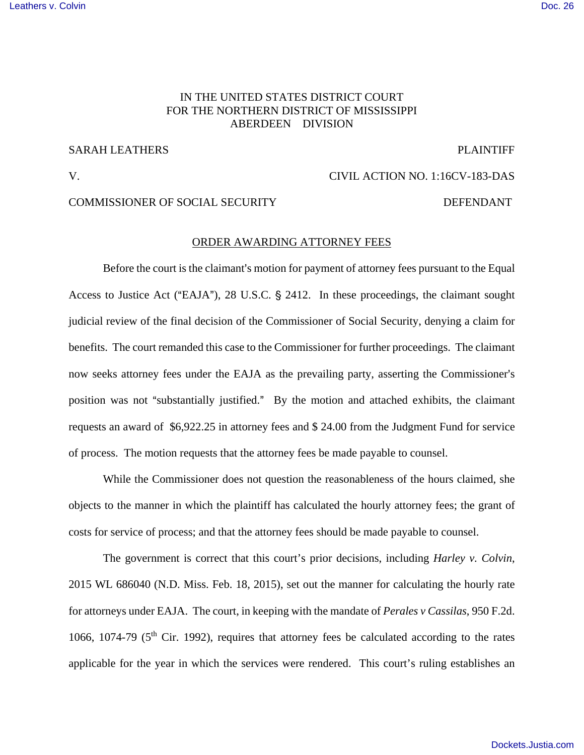## [Leathers v. Colvin](https://dockets.justia.com/docket/mississippi/msndce/1:2016cv00183/38790/) [Doc. 26](https://docs.justia.com/cases/federal/district-courts/mississippi/msndce/1:2016cv00183/38790/26/)

## IN THE UNITED STATES DISTRICT COURT FOR THE NORTHERN DISTRICT OF MISSISSIPPI ABERDEEN DIVISION

## SARAH LEATHERS PLAINTIFF

# V. CIVIL ACTION NO. 1:16CV-183-DAS

## COMMISSIONER OF SOCIAL SECURITY DEFENDANT

### ORDER AWARDING ATTORNEY FEES

Before the court is the claimant's motion for payment of attorney fees pursuant to the Equal Access to Justice Act ("EAJA"), 28 U.S.C.  $\S$  2412. In these proceedings, the claimant sought judicial review of the final decision of the Commissioner of Social Security, denying a claim for benefits. The court remanded this case to the Commissioner for further proceedings. The claimant now seeks attorney fees under the EAJA as the prevailing party, asserting the Commissioner's position was not "substantially justified." By the motion and attached exhibits, the claimant requests an award of \$6,922.25 in attorney fees and \$ 24.00 from the Judgment Fund for service of process. The motion requests that the attorney fees be made payable to counsel.

While the Commissioner does not question the reasonableness of the hours claimed, she objects to the manner in which the plaintiff has calculated the hourly attorney fees; the grant of costs for service of process; and that the attorney fees should be made payable to counsel.

The government is correct that this court's prior decisions, including *Harley v. Colvin*, 2015 WL 686040 (N.D. Miss. Feb. 18, 2015), set out the manner for calculating the hourly rate for attorneys under EAJA. The court, in keeping with the mandate of *Perales v Cassilas*, 950 F.2d. 1066, 1074-79 ( $5<sup>th</sup>$  Cir. 1992), requires that attorney fees be calculated according to the rates applicable for the year in which the services were rendered. This court's ruling establishes an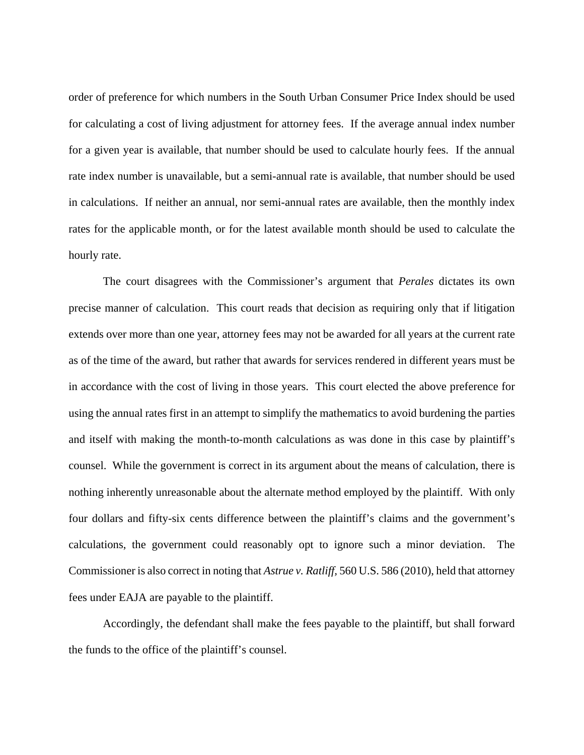order of preference for which numbers in the South Urban Consumer Price Index should be used for calculating a cost of living adjustment for attorney fees. If the average annual index number for a given year is available, that number should be used to calculate hourly fees. If the annual rate index number is unavailable, but a semi-annual rate is available, that number should be used in calculations. If neither an annual, nor semi-annual rates are available, then the monthly index rates for the applicable month, or for the latest available month should be used to calculate the hourly rate.

The court disagrees with the Commissioner's argument that *Perales* dictates its own precise manner of calculation. This court reads that decision as requiring only that if litigation extends over more than one year, attorney fees may not be awarded for all years at the current rate as of the time of the award, but rather that awards for services rendered in different years must be in accordance with the cost of living in those years. This court elected the above preference for using the annual rates first in an attempt to simplify the mathematics to avoid burdening the parties and itself with making the month-to-month calculations as was done in this case by plaintiff's counsel. While the government is correct in its argument about the means of calculation, there is nothing inherently unreasonable about the alternate method employed by the plaintiff. With only four dollars and fifty-six cents difference between the plaintiff's claims and the government's calculations, the government could reasonably opt to ignore such a minor deviation. The Commissioner is also correct in noting that *Astrue v. Ratliff,* 560 U.S. 586 (2010), held that attorney fees under EAJA are payable to the plaintiff.

Accordingly, the defendant shall make the fees payable to the plaintiff, but shall forward the funds to the office of the plaintiff's counsel.